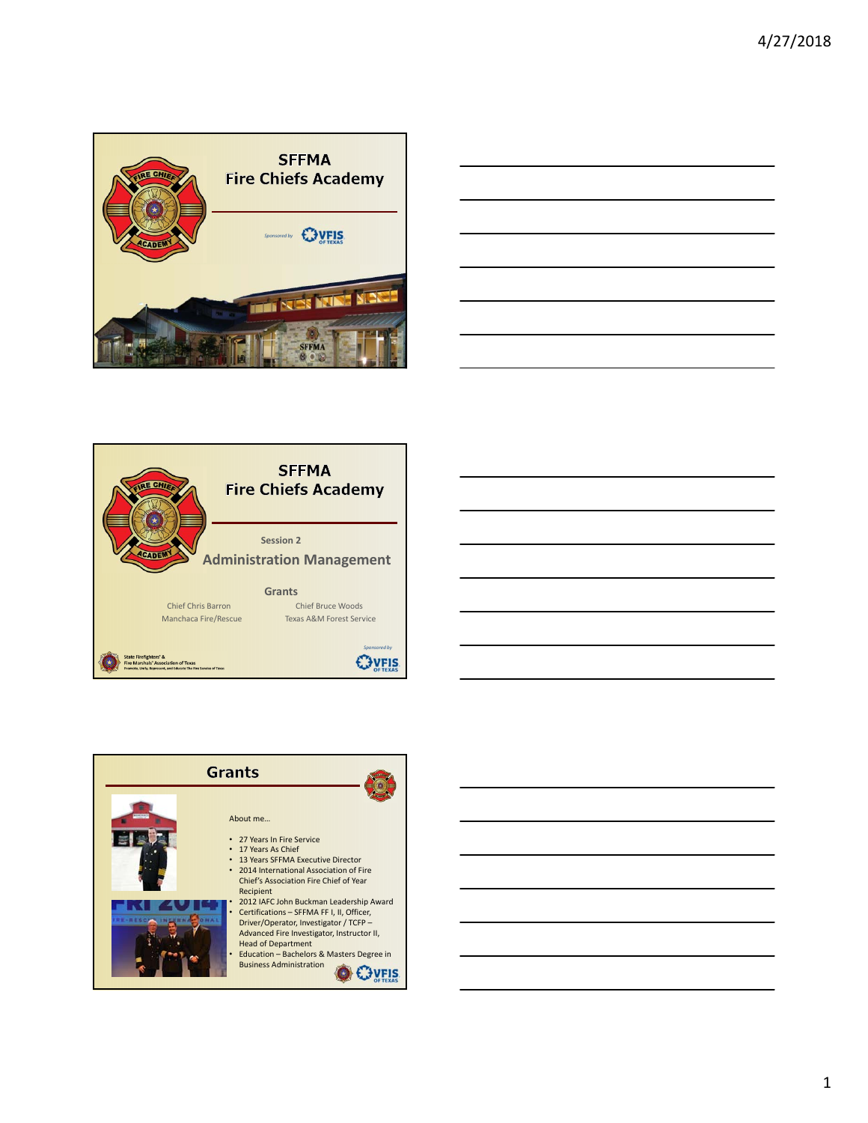







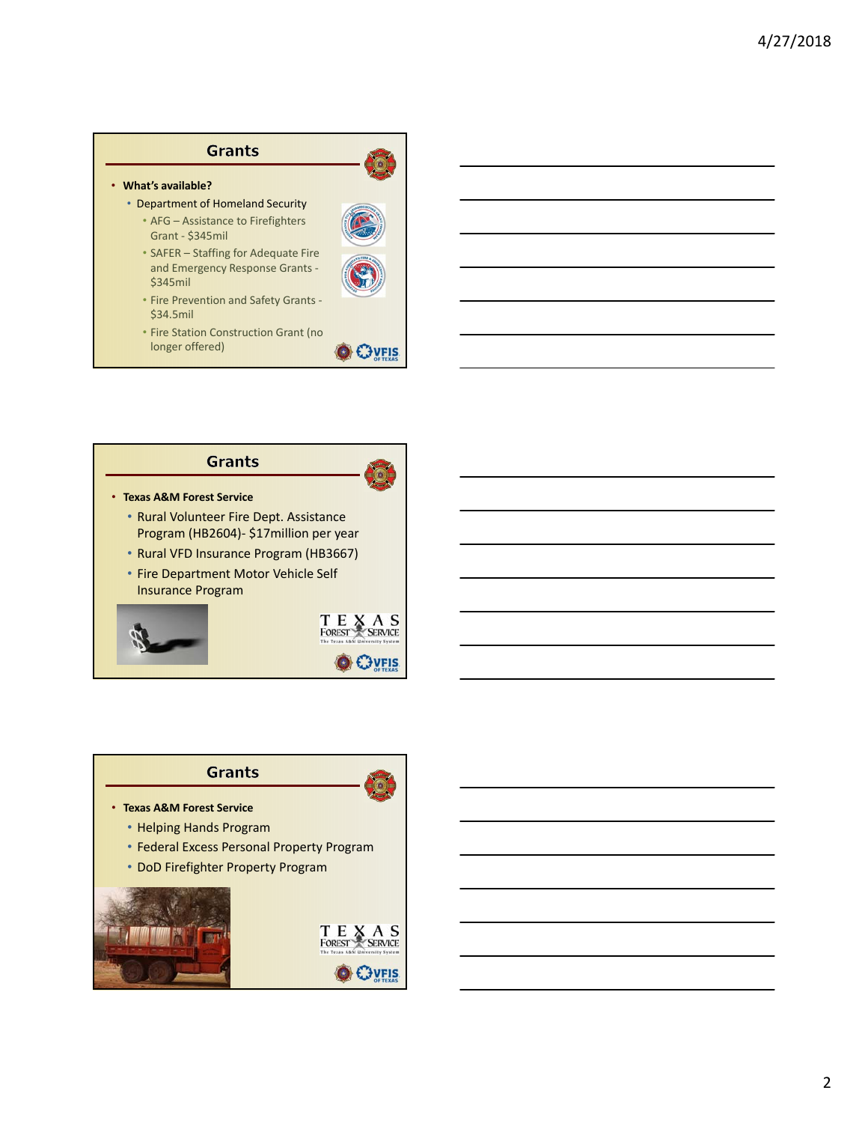### • **What's available?**

\$34.5mil

- Department of Homeland Security • AFG – Assistance to Firefighters Grant ‐ \$345mil
	- SAFER Staffing for Adequate Fire and Emergency Response Grants ‐ \$345mil
	- Fire Prevention and Safety Grants ‐
	- Fire Station Construction Grant (no longer offered)



T E X A S<br>FOREST SERVICE

**EXPLIS** 

# **Grants**

- **Texas A&M Forest Service**
	- Rural Volunteer Fire Dept. Assistance Program (HB2604)‐ \$17million per year
	- Rural VFD Insurance Program (HB3667)
	- Fire Department Motor Vehicle Self Insurance Program



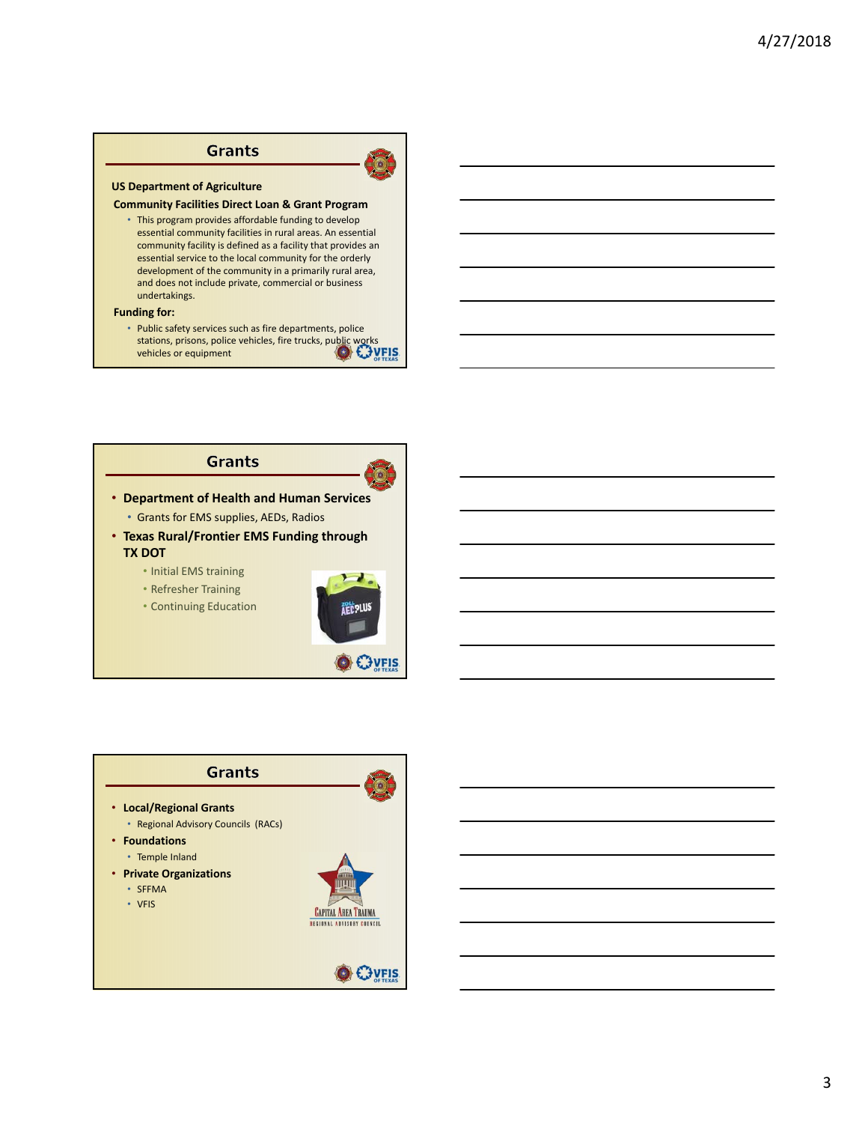

#### **Community Facilities Direct Loan & Grant Program**

• This program provides affordable funding to develop essential community facilities in rural areas. An essential community facility is defined as a facility that provides an essential service to the local community for the orderly development of the community in a primarily rural area, and does not include private, commercial or business undertakings.

#### **Funding for:**

• Public safety services such as fire departments, police stations, prisons, police vehicles, fire trucks, public works vehicles or equipment

### **Grants**



- **Department of Health and Human Services** • Grants for EMS supplies, AEDs, Radios
- **Texas Rural/Frontier EMS Funding through TX DOT**
	- Initial EMS training
	- Refresher Training
	- Continuing Education



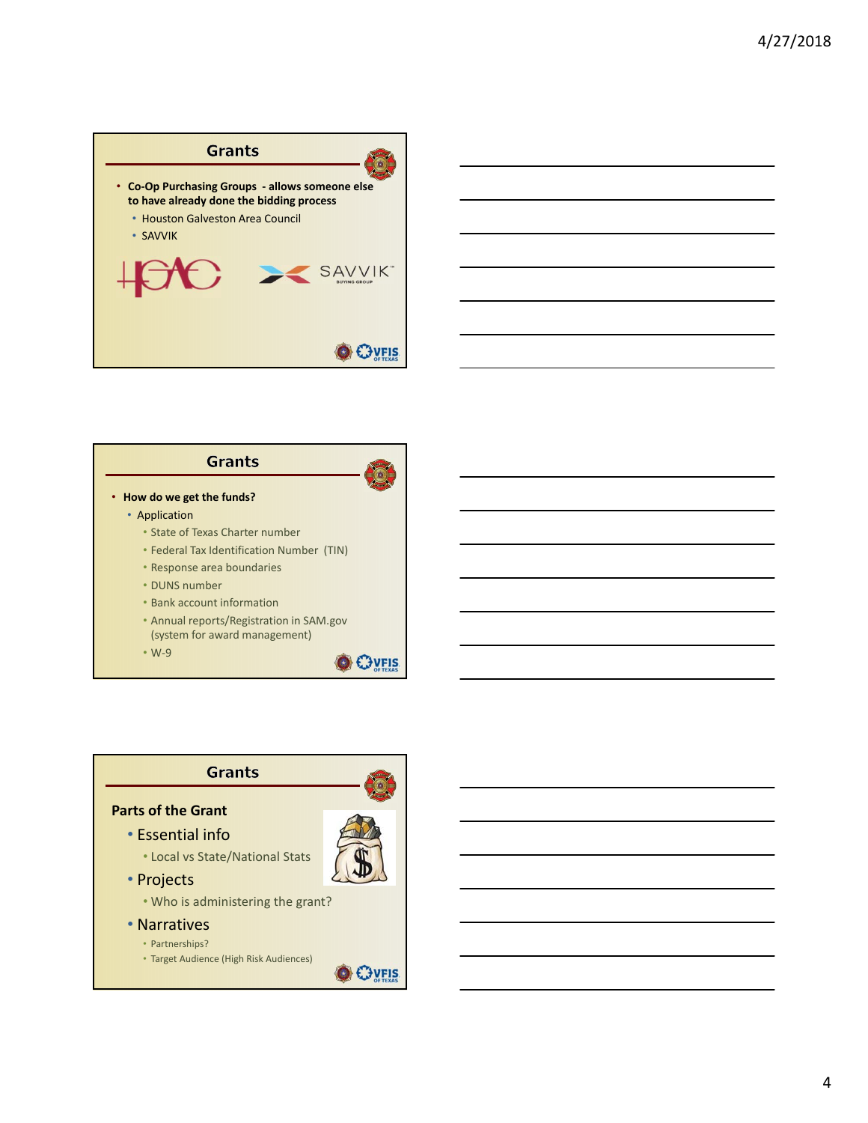



- **How do we get the funds?**
	- Application
		- State of Texas Charter number
		- Federal Tax Identification Number (TIN)
		- Response area boundaries
		- DUNS number
		- Bank account information
		- Annual reports/Registration in SAM.gov (system for award management)
		- W‐9



# **Grants Parts of the Grant**

• Essential info



- Projects
	- Who is administering the grant?
- Narratives
	- Partnerships?
	- Target Audience (High Risk Audiences)